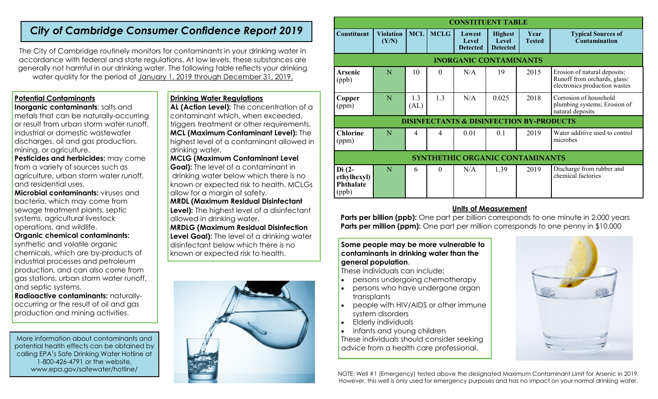## *City of Cambridge Consumer Confidence Report 2019*

The City of Cambridge routinely monitors for contaminants in your drinking water in accordance with federal and state regulations. At low levels, these substances are generally not harmful in our drinking water. The following table reflects your drinking water quality for the period of January 1, 2019 through December 31, 2019.

## **Potential Contaminants**

**Inorganic contaminants: salts and** metals that can be naturally-occurring or result from urban storm water runoff, industrial or domestic wastewater discharges, oil and gas production, mining, or agriculture.

**Pesticides and herbicides:** may come from a variety of sources such as agriculture, urban storm water runoff, and residential uses.

**Microbial contaminants:** viruses and bacteria, which may come from sewage treatment plants, septic systems, agricultural livestock operations, and wildlife.

## **Organic chemical contaminants:**

synthetic and volatile organic chemicals, which are by-products of industrial processes and petroleum production, and can also come from gas stations, urban storm water runoff, and septic systems.

**Radioactive contaminants:** naturallyoccurring or the result of oil and gas production and mining activities.

More information about contaminants and potential health effects can be obtained by calling EPA's Safe Drinking Water Hotline at 1-800-426-4791 or the website, www.epa.gov/safewater/hotline/

## **Drinking Water Regulations**

**AL (Action Level):** The concentration of a contaminant which, when exceeded, triggers treatment or other requirements. **MCL (Maximum Contaminant Level):** The highest level of a contaminant allowed in drinking water.

**MCLG (Maximum Contaminant Level Goal):** The level of a contaminant in drinking water below which there is no known or expected risk to health. MCLGs allow for a margin of safety. **MRDL (Maximum Residual Disinfectant** 

**Level):** The highest level of a disinfectant allowed in drinking water.

**MRDLG (Maximum Residual Disinfection** 

**Level Goal):** The level of a drinking water disinfectant below which there is no known or expected risk to health.



| <b>CONSTITUENT TABLE</b>                            |                           |             |             |                                           |                                            |                       |                                                                                               |
|-----------------------------------------------------|---------------------------|-------------|-------------|-------------------------------------------|--------------------------------------------|-----------------------|-----------------------------------------------------------------------------------------------|
| <b>Constituent</b>                                  | <b>Violation</b><br>(Y/N) | <b>MCL</b>  | <b>MCLG</b> | Lowest<br><b>Level</b><br><b>Detected</b> | <b>Highest</b><br>Level<br><b>Detected</b> | Year<br><b>Tested</b> | <b>Typical Sources of</b><br>Contamination                                                    |
| <b>INORGANIC CONTAMINANTS</b>                       |                           |             |             |                                           |                                            |                       |                                                                                               |
| <b>Arsenic</b><br>(ppb)                             | N                         | 10          | $\Omega$    | N/A                                       | 19                                         | 2015                  | Erosion of natural deposits;<br>Runoff from orchards, glass/<br>electronics production wastes |
| Copper<br>(ppm)                                     | N                         | 1.3<br>(AL) | 1.3         | N/A                                       | 0.025                                      | 2018                  | Corrosion of household<br>plumbing systems; Erosion of<br>natural deposits                    |
| <b>DISINFECTANTS &amp; DISINFECTION BY-PRODUCTS</b> |                           |             |             |                                           |                                            |                       |                                                                                               |
| <b>Chlorine</b><br>(ppm)                            | N                         | 4           | 4           | 0.01                                      | 0.1                                        | 2019                  | Water additive used to control<br>microbes                                                    |
| SYNTHETHIC ORGANIC CONTAMINANTS                     |                           |             |             |                                           |                                            |                       |                                                                                               |
| $Di(2-$<br>ethylhexyl)<br><b>Phthalate</b><br>(ppb) | N                         | 6           | $\theta$    | N/A                                       | 1.39                                       | 2019                  | Discharge from rubber and<br>chemical factories                                               |

## **Units of Measurement**

**Parts per billion (ppb):** One part per billion corresponds to one minute in 2,000 years **Parts per million (ppm):** One part per million corresponds to one penny in \$10,000

## **Some people may be more vulnerable to contaminants in drinking water than the general population**.

These individuals can include:

- persons undergoing chemotherapy
- persons who have undergone organ transplants
- people with HIV/AIDS or other immune system disorders
- Elderly individuals
- infants and young children

These individuals should consider seeking advice from a health care professional.



NOTE: Well #1 (Emergency) tested above the designated Maximum Contaminant Limit for Arsenic in 2019. However, this well is only used for emergency purposes and has no impact on your normal drinking water.